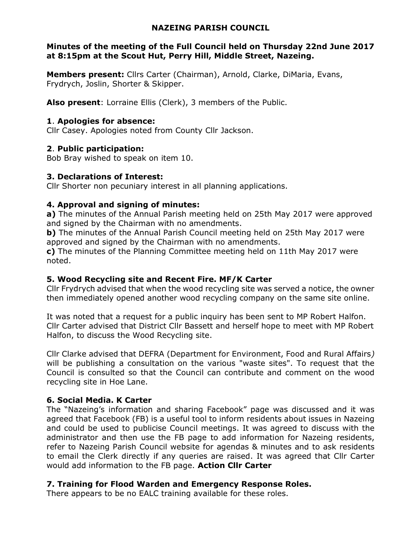#### NAZEING PARISH COUNCIL

#### Minutes of the meeting of the Full Council held on Thursday 22nd June 2017 at 8:15pm at the Scout Hut, Perry Hill, Middle Street, Nazeing.

Members present: Cllrs Carter (Chairman), Arnold, Clarke, DiMaria, Evans, Frydrych, Joslin, Shorter & Skipper.

Also present: Lorraine Ellis (Clerk), 3 members of the Public.

#### 1. Apologies for absence:

Cllr Casey. Apologies noted from County Cllr Jackson.

#### 2. Public participation:

Bob Bray wished to speak on item 10.

#### 3. Declarations of Interest:

Cllr Shorter non pecuniary interest in all planning applications.

# 4. Approval and signing of minutes:

a) The minutes of the Annual Parish meeting held on 25th May 2017 were approved and signed by the Chairman with no amendments.

b) The minutes of the Annual Parish Council meeting held on 25th May 2017 were approved and signed by the Chairman with no amendments.

c) The minutes of the Planning Committee meeting held on 11th May 2017 were noted.

# 5. Wood Recycling site and Recent Fire. MF/K Carter

Cllr Frydrych advised that when the wood recycling site was served a notice, the owner then immediately opened another wood recycling company on the same site online.

It was noted that a request for a public inquiry has been sent to MP Robert Halfon. Cllr Carter advised that District Cllr Bassett and herself hope to meet with MP Robert Halfon, to discuss the Wood Recycling site.

Cllr Clarke advised that DEFRA (Department for Environment, Food and Rural Affairs) will be publishing a consultation on the various "waste sites". To request that the Council is consulted so that the Council can contribute and comment on the wood recycling site in Hoe Lane.

# 6. Social Media. K Carter

The "Nazeing's information and sharing Facebook" page was discussed and it was agreed that Facebook (FB) is a useful tool to inform residents about issues in Nazeing and could be used to publicise Council meetings. It was agreed to discuss with the administrator and then use the FB page to add information for Nazeing residents, refer to Nazeing Parish Council website for agendas & minutes and to ask residents to email the Clerk directly if any queries are raised. It was agreed that Cllr Carter would add information to the FB page. Action Cllr Carter

# 7. Training for Flood Warden and Emergency Response Roles.

There appears to be no EALC training available for these roles.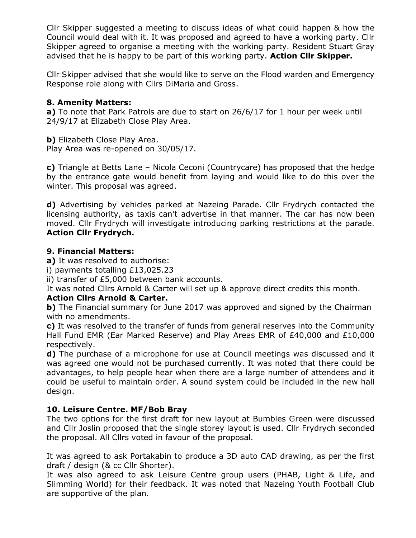Cllr Skipper suggested a meeting to discuss ideas of what could happen & how the Council would deal with it. It was proposed and agreed to have a working party. Cllr Skipper agreed to organise a meeting with the working party. Resident Stuart Gray advised that he is happy to be part of this working party. Action Cllr Skipper.

Cllr Skipper advised that she would like to serve on the Flood warden and Emergency Response role along with Cllrs DiMaria and Gross.

#### 8. Amenity Matters:

a) To note that Park Patrols are due to start on 26/6/17 for 1 hour per week until 24/9/17 at Elizabeth Close Play Area.

b) Elizabeth Close Play Area. Play Area was re-opened on 30/05/17.

c) Triangle at Betts Lane – Nicola Ceconi (Countrycare) has proposed that the hedge by the entrance gate would benefit from laying and would like to do this over the winter. This proposal was agreed.

d) Advertising by vehicles parked at Nazeing Parade. Cllr Frydrych contacted the licensing authority, as taxis can't advertise in that manner. The car has now been moved. Cllr Frydrych will investigate introducing parking restrictions at the parade. Action Cllr Frydrych.

#### 9. Financial Matters:

a) It was resolved to authorise:

i) payments totalling £13,025.23

ii) transfer of £5,000 between bank accounts.

It was noted Cllrs Arnold & Carter will set up & approve direct credits this month.

# Action Cllrs Arnold & Carter.

b) The Financial summary for June 2017 was approved and signed by the Chairman with no amendments.

c) It was resolved to the transfer of funds from general reserves into the Community Hall Fund EMR (Ear Marked Reserve) and Play Areas EMR of £40,000 and £10,000 respectively.

d) The purchase of a microphone for use at Council meetings was discussed and it was agreed one would not be purchased currently. It was noted that there could be advantages, to help people hear when there are a large number of attendees and it could be useful to maintain order. A sound system could be included in the new hall design.

# 10. Leisure Centre. MF/Bob Bray

The two options for the first draft for new layout at Bumbles Green were discussed and Cllr Joslin proposed that the single storey layout is used. Cllr Frydrych seconded the proposal. All Cllrs voted in favour of the proposal.

It was agreed to ask Portakabin to produce a 3D auto CAD drawing, as per the first draft / design (& cc Cllr Shorter).

It was also agreed to ask Leisure Centre group users (PHAB, Light & Life, and Slimming World) for their feedback. It was noted that Nazeing Youth Football Club are supportive of the plan.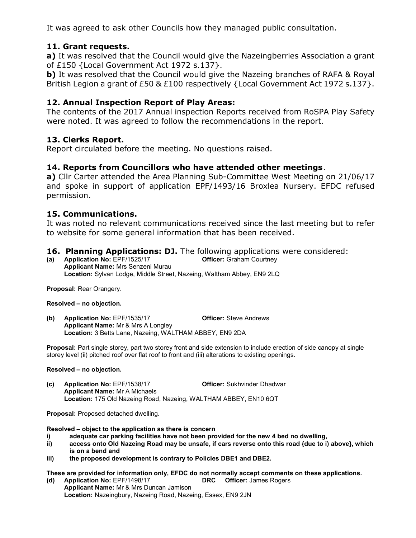It was agreed to ask other Councils how they managed public consultation.

#### 11. Grant requests.

a) It was resolved that the Council would give the Nazeingberries Association a grant of £150 {Local Government Act 1972 s.137}.

b) It was resolved that the Council would give the Nazeing branches of RAFA & Royal British Legion a grant of £50 & £100 respectively {Local Government Act 1972 s.137}.

#### 12. Annual Inspection Report of Play Areas:

The contents of the 2017 Annual inspection Reports received from RoSPA Play Safety were noted. It was agreed to follow the recommendations in the report.

#### 13. Clerks Report.

Report circulated before the meeting. No questions raised.

#### 14. Reports from Councillors who have attended other meetings.

a) Cllr Carter attended the Area Planning Sub-Committee West Meeting on 21/06/17 and spoke in support of application EPF/1493/16 Broxlea Nursery. EFDC refused permission.

#### 15. Communications.

It was noted no relevant communications received since the last meeting but to refer to website for some general information that has been received.

# **16. Planning Applications: DJ.** The following applications were considered:<br>(a) Application No: EPF/1525/17 **CHECT** Officer: Graham Courtney

(a) Application No:  $EPF/1525/17$ Applicant Name: Mrs Senzeni Murau Location: Sylvan Lodge, Middle Street, Nazeing, Waltham Abbey, EN9 2LQ

Proposal: Rear Orangery.

Resolved – no objection.

(b) Application No: EPF/1535/17 Officer: Steve Andrews Applicant Name: Mr & Mrs A Longley Location: 3 Betts Lane, Nazeing, WALTHAM ABBEY, EN9 2DA

Proposal: Part single storey, part two storey front and side extension to include erection of side canopy at single storey level (ii) pitched roof over flat roof to front and (iii) alterations to existing openings.

#### Resolved – no objection.

(c) Application No: EPF/1538/17 Officer: Sukhvinder Dhadwar Applicant Name: Mr A Michaels Location: 175 Old Nazeing Road, Nazeing, WALTHAM ABBEY, EN10 6QT

Proposal: Proposed detached dwelling.

Resolved – object to the application as there is concern

- i) adequate car parking facilities have not been provided for the new 4 bed no dwelling,
- ii) access onto Old Nazeing Road may be unsafe, if cars reverse onto this road {due to i) above}, which is on a bend and
- iii) the proposed development is contrary to Policies DBE1 and DBE2.

These are provided for information only, EFDC do not normally accept comments on these applications. (d) Application No: EPF/1498/17 DRC Officer: James Rogers

Applicant Name: Mr & Mrs Duncan Jamison Location: Nazeingbury, Nazeing Road, Nazeing, Essex, EN9 2JN